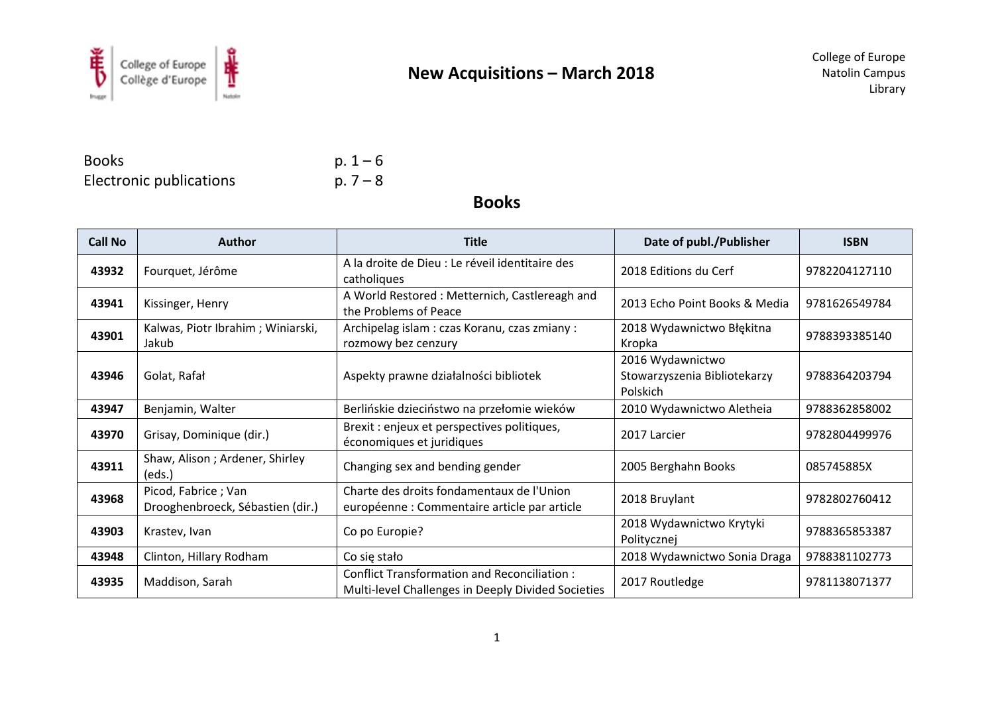

BooksElectronic publications  $p. 7-8$ 

p.  $1 - 6$ 

**Books**

| <b>Call No</b> | <b>Author</b>                                           | <b>Title</b>                                                                                             | Date of publ./Publisher                                      | <b>ISBN</b>   |
|----------------|---------------------------------------------------------|----------------------------------------------------------------------------------------------------------|--------------------------------------------------------------|---------------|
| 43932          | Fourquet, Jérôme                                        | A la droite de Dieu : Le réveil identitaire des<br>catholiques                                           | 2018 Editions du Cerf                                        | 9782204127110 |
| 43941          | Kissinger, Henry                                        | A World Restored: Metternich, Castlereagh and<br>the Problems of Peace                                   | 2013 Echo Point Books & Media                                | 9781626549784 |
| 43901          | Kalwas, Piotr Ibrahim; Winiarski,<br>Jakub              | Archipelag islam : czas Koranu, czas zmiany :<br>rozmowy bez cenzury                                     | 2018 Wydawnictwo Błękitna<br>Kropka                          | 9788393385140 |
| 43946          | Golat, Rafał                                            | Aspekty prawne działalności bibliotek                                                                    | 2016 Wydawnictwo<br>Stowarzyszenia Bibliotekarzy<br>Polskich | 9788364203794 |
| 43947          | Benjamin, Walter                                        | Berlińskie dzieciństwo na przełomie wieków                                                               | 2010 Wydawnictwo Aletheia                                    | 9788362858002 |
| 43970          | Grisay, Dominique (dir.)                                | Brexit : enjeux et perspectives politiques,<br>économiques et juridiques                                 | 2017 Larcier                                                 | 9782804499976 |
| 43911          | Shaw, Alison; Ardener, Shirley<br>(eds.)                | Changing sex and bending gender                                                                          | 2005 Berghahn Books                                          | 085745885X    |
| 43968          | Picod, Fabrice; Van<br>Drooghenbroeck, Sébastien (dir.) | Charte des droits fondamentaux de l'Union<br>européenne : Commentaire article par article                | 2018 Bruylant                                                | 9782802760412 |
| 43903          | Krastev, Ivan                                           | Co po Europie?                                                                                           | 2018 Wydawnictwo Krytyki<br>Politycznej                      | 9788365853387 |
| 43948          | Clinton, Hillary Rodham                                 | Co się stało                                                                                             | 2018 Wydawnictwo Sonia Draga                                 | 9788381102773 |
| 43935          | Maddison, Sarah                                         | <b>Conflict Transformation and Reconciliation:</b><br>Multi-level Challenges in Deeply Divided Societies | 2017 Routledge                                               | 9781138071377 |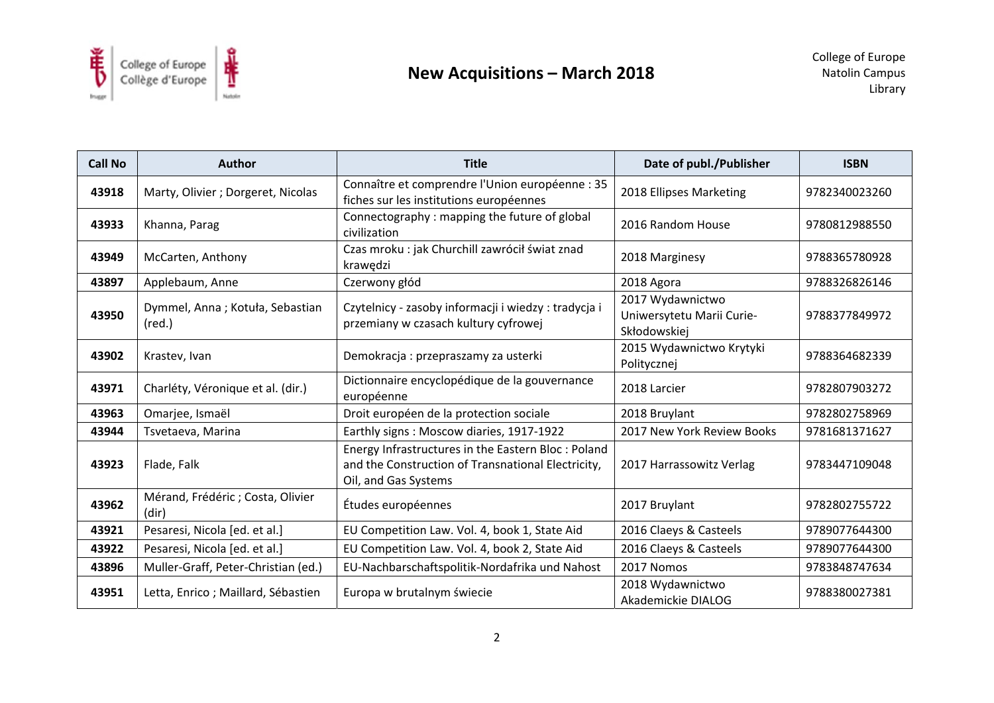

| <b>Call No</b> | <b>Author</b>                                      | <b>Title</b>                                                                                                                     | Date of publ./Publisher                                       | <b>ISBN</b>   |
|----------------|----------------------------------------------------|----------------------------------------------------------------------------------------------------------------------------------|---------------------------------------------------------------|---------------|
| 43918          | Marty, Olivier ; Dorgeret, Nicolas                 | Connaître et comprendre l'Union européenne : 35<br>fiches sur les institutions européennes                                       | 2018 Ellipses Marketing                                       | 9782340023260 |
| 43933          | Khanna, Parag                                      | Connectography: mapping the future of global<br>civilization                                                                     | 2016 Random House                                             | 9780812988550 |
| 43949          | McCarten, Anthony                                  | Czas mroku : jak Churchill zawrócił świat znad<br>krawędzi                                                                       | 2018 Marginesy                                                | 9788365780928 |
| 43897          | Applebaum, Anne                                    | Czerwony głód                                                                                                                    | 2018 Agora                                                    | 9788326826146 |
| 43950          | Dymmel, Anna; Kotuła, Sebastian<br>$(\text{red.})$ | Czytelnicy - zasoby informacji i wiedzy: tradycja i<br>przemiany w czasach kultury cyfrowej                                      | 2017 Wydawnictwo<br>Uniwersytetu Marii Curie-<br>Skłodowskiej | 9788377849972 |
| 43902          | Krastev, Ivan                                      | Demokracja: przepraszamy za usterki                                                                                              | 2015 Wydawnictwo Krytyki<br>Politycznej                       | 9788364682339 |
| 43971          | Charléty, Véronique et al. (dir.)                  | Dictionnaire encyclopédique de la gouvernance<br>européenne                                                                      | 2018 Larcier                                                  | 9782807903272 |
| 43963          | Omarjee, Ismaël                                    | Droit européen de la protection sociale                                                                                          | 2018 Bruylant                                                 | 9782802758969 |
| 43944          | Tsvetaeva, Marina                                  | Earthly signs: Moscow diaries, 1917-1922                                                                                         | 2017 New York Review Books                                    | 9781681371627 |
| 43923          | Flade, Falk                                        | Energy Infrastructures in the Eastern Bloc: Poland<br>and the Construction of Transnational Electricity,<br>Oil, and Gas Systems | 2017 Harrassowitz Verlag                                      | 9783447109048 |
| 43962          | Mérand, Frédéric ; Costa, Olivier<br>(dir)         | Études européennes                                                                                                               | 2017 Bruylant                                                 | 9782802755722 |
| 43921          | Pesaresi, Nicola [ed. et al.]                      | EU Competition Law. Vol. 4, book 1, State Aid                                                                                    | 2016 Claeys & Casteels                                        | 9789077644300 |
| 43922          | Pesaresi, Nicola [ed. et al.]                      | EU Competition Law. Vol. 4, book 2, State Aid                                                                                    | 2016 Claeys & Casteels                                        | 9789077644300 |
| 43896          | Muller-Graff, Peter-Christian (ed.)                | EU-Nachbarschaftspolitik-Nordafrika und Nahost                                                                                   | 2017 Nomos                                                    | 9783848747634 |
| 43951          | Letta, Enrico; Maillard, Sébastien                 | Europa w brutalnym świecie                                                                                                       | 2018 Wydawnictwo<br>Akademickie DIALOG                        | 9788380027381 |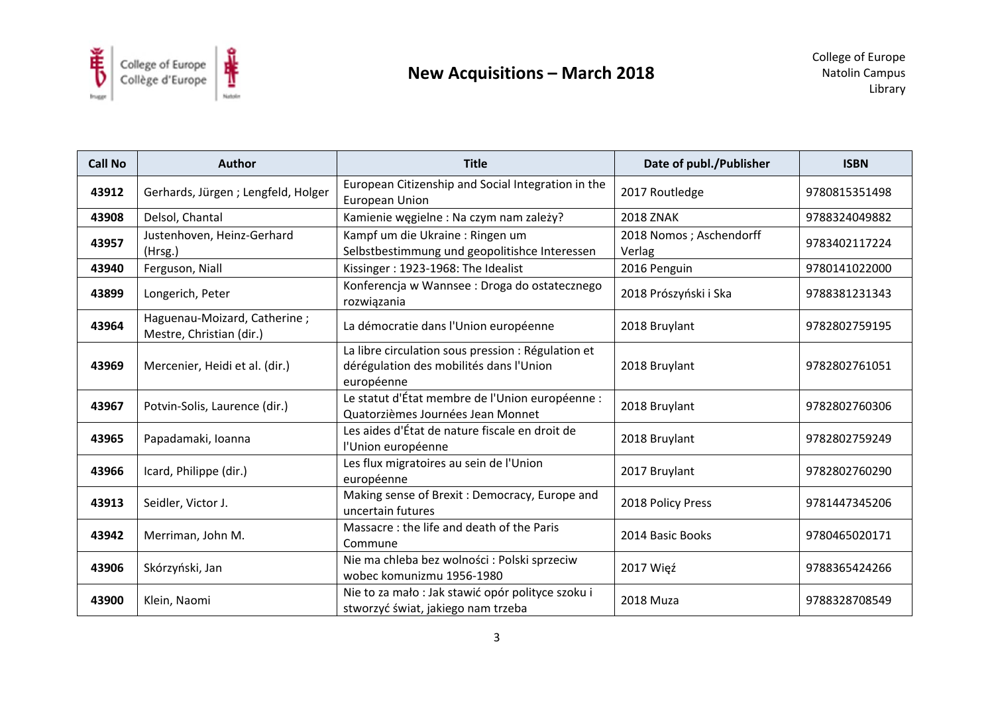

| <b>Call No</b> | <b>Author</b>                                            | <b>Title</b>                                                                                                | Date of publ./Publisher           | <b>ISBN</b>   |
|----------------|----------------------------------------------------------|-------------------------------------------------------------------------------------------------------------|-----------------------------------|---------------|
| 43912          | Gerhards, Jürgen; Lengfeld, Holger                       | European Citizenship and Social Integration in the<br><b>European Union</b>                                 | 2017 Routledge                    | 9780815351498 |
| 43908          | Delsol, Chantal                                          | Kamienie węgielne : Na czym nam zależy?                                                                     | <b>2018 ZNAK</b>                  | 9788324049882 |
| 43957          | Justenhoven, Heinz-Gerhard<br>(Hrsg.)                    | Kampf um die Ukraine : Ringen um<br>Selbstbestimmung und geopolitishce Interessen                           | 2018 Nomos; Aschendorff<br>Verlag | 9783402117224 |
| 43940          | Ferguson, Niall                                          | Kissinger: 1923-1968: The Idealist                                                                          | 2016 Penguin                      | 9780141022000 |
| 43899          | Longerich, Peter                                         | Konferencja w Wannsee: Droga do ostatecznego<br>rozwiązania                                                 | 2018 Prószyński i Ska             | 9788381231343 |
| 43964          | Haguenau-Moizard, Catherine;<br>Mestre, Christian (dir.) | La démocratie dans l'Union européenne                                                                       | 2018 Bruylant                     | 9782802759195 |
| 43969          | Mercenier, Heidi et al. (dir.)                           | La libre circulation sous pression : Régulation et<br>dérégulation des mobilités dans l'Union<br>européenne | 2018 Bruylant                     | 9782802761051 |
| 43967          | Potvin-Solis, Laurence (dir.)                            | Le statut d'État membre de l'Union européenne :<br>Quatorzièmes Journées Jean Monnet                        | 2018 Bruylant                     | 9782802760306 |
| 43965          | Papadamaki, Ioanna                                       | Les aides d'État de nature fiscale en droit de<br>l'Union européenne                                        | 2018 Bruylant                     | 9782802759249 |
| 43966          | Icard, Philippe (dir.)                                   | Les flux migratoires au sein de l'Union<br>européenne                                                       | 2017 Bruylant                     | 9782802760290 |
| 43913          | Seidler, Victor J.                                       | Making sense of Brexit: Democracy, Europe and<br>uncertain futures                                          | 2018 Policy Press                 | 9781447345206 |
| 43942          | Merriman, John M.                                        | Massacre: the life and death of the Paris<br>Commune                                                        | 2014 Basic Books                  | 9780465020171 |
| 43906          | Skórzyński, Jan                                          | Nie ma chleba bez wolności : Polski sprzeciw<br>wobec komunizmu 1956-1980                                   | 2017 Więź                         | 9788365424266 |
| 43900          | Klein, Naomi                                             | Nie to za mało : Jak stawić opór polityce szoku i<br>stworzyć świat, jakiego nam trzeba                     | 2018 Muza                         | 9788328708549 |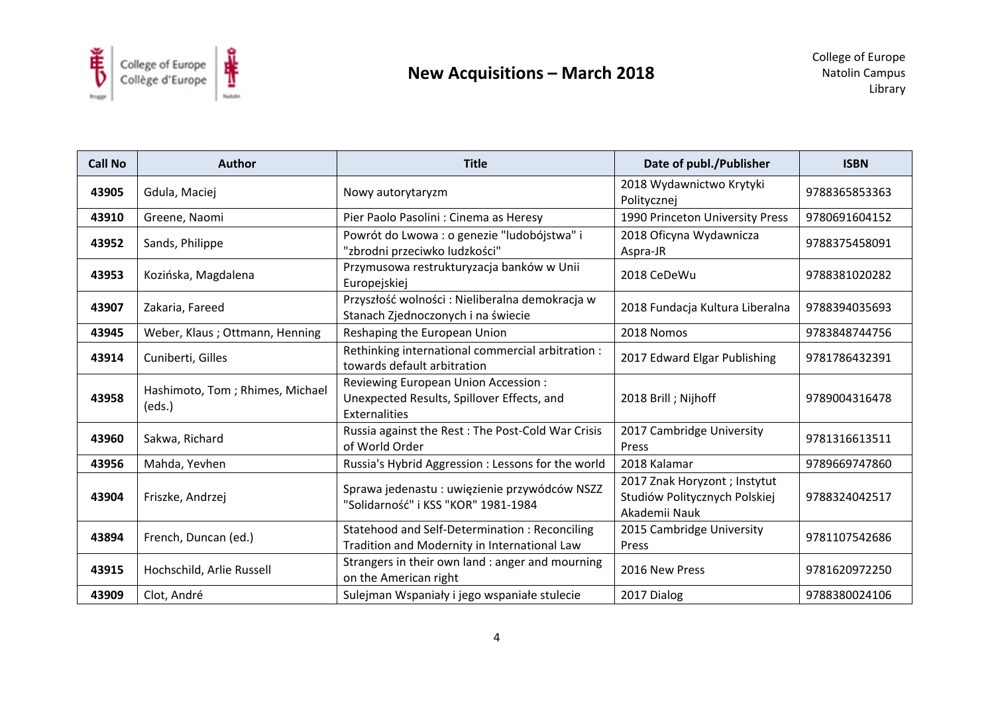

| <b>Call No</b> | <b>Author</b>                             | <b>Title</b>                                                                                                     | Date of publ./Publisher                                                         | <b>ISBN</b>   |
|----------------|-------------------------------------------|------------------------------------------------------------------------------------------------------------------|---------------------------------------------------------------------------------|---------------|
| 43905          | Gdula, Maciej                             | Nowy autorytaryzm                                                                                                | 2018 Wydawnictwo Krytyki<br>Politycznej                                         | 9788365853363 |
| 43910          | Greene, Naomi                             | Pier Paolo Pasolini : Cinema as Heresy                                                                           | 1990 Princeton University Press                                                 | 9780691604152 |
| 43952          | Sands, Philippe                           | Powrót do Lwowa : o genezie "ludobójstwa" i<br>"zbrodni przeciwko ludzkości"                                     | 2018 Oficyna Wydawnicza<br>Aspra-JR                                             | 9788375458091 |
| 43953          | Kozińska, Magdalena                       | Przymusowa restrukturyzacja banków w Unii<br>Europejskiej                                                        | 2018 CeDeWu                                                                     | 9788381020282 |
| 43907          | Zakaria, Fareed                           | Przyszłość wolności: Nieliberalna demokracja w<br>Stanach Zjednoczonych i na świecie                             | 2018 Fundacja Kultura Liberalna                                                 | 9788394035693 |
| 43945          | Weber, Klaus ; Ottmann, Henning           | Reshaping the European Union                                                                                     | 2018 Nomos                                                                      | 9783848744756 |
| 43914          | Cuniberti, Gilles                         | Rethinking international commercial arbitration :<br>towards default arbitration                                 | 2017 Edward Elgar Publishing                                                    | 9781786432391 |
| 43958          | Hashimoto, Tom; Rhimes, Michael<br>(eds.) | <b>Reviewing European Union Accession:</b><br>Unexpected Results, Spillover Effects, and<br><b>Externalities</b> | 2018 Brill; Nijhoff                                                             | 9789004316478 |
| 43960          | Sakwa, Richard                            | Russia against the Rest: The Post-Cold War Crisis<br>of World Order                                              | 2017 Cambridge University<br>Press                                              | 9781316613511 |
| 43956          | Mahda, Yevhen                             | Russia's Hybrid Aggression : Lessons for the world                                                               | 2018 Kalamar                                                                    | 9789669747860 |
| 43904          | Friszke, Andrzej                          | Sprawa jedenastu : uwięzienie przywódców NSZZ<br>"Solidarność" i KSS "KOR" 1981-1984                             | 2017 Znak Horyzont ; Instytut<br>Studiów Politycznych Polskiej<br>Akademii Nauk | 9788324042517 |
| 43894          | French, Duncan (ed.)                      | Statehood and Self-Determination: Reconciling<br>Tradition and Modernity in International Law                    | 2015 Cambridge University<br>Press                                              | 9781107542686 |
| 43915          | Hochschild, Arlie Russell                 | Strangers in their own land : anger and mourning<br>on the American right                                        | 2016 New Press                                                                  | 9781620972250 |
| 43909          | Clot, André                               | Sulejman Wspaniały i jego wspaniałe stulecie                                                                     | 2017 Dialog                                                                     | 9788380024106 |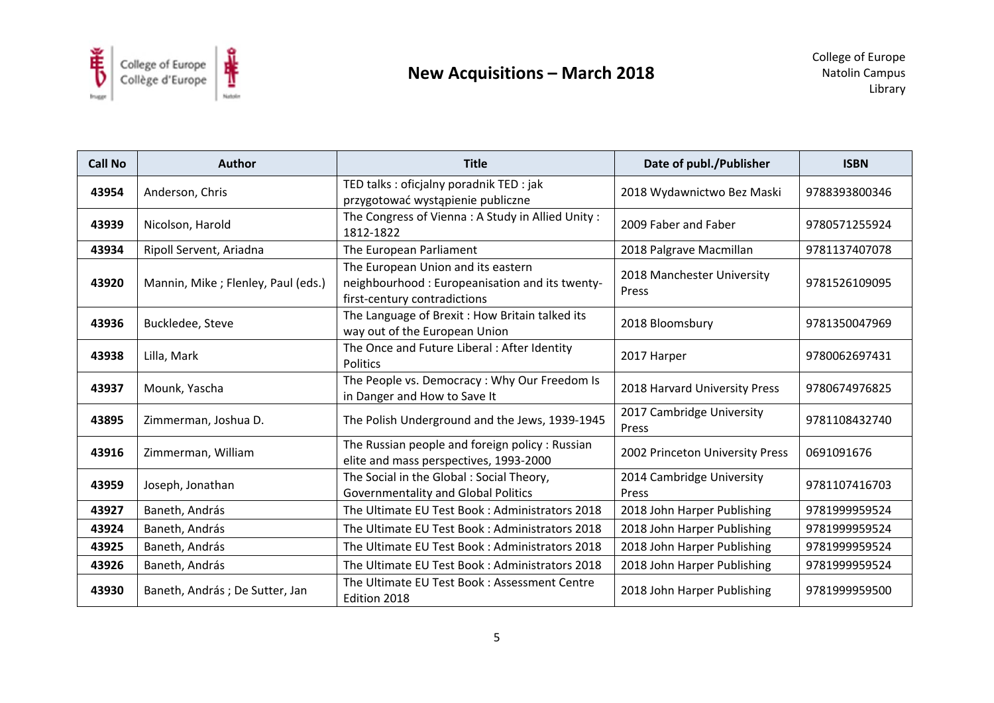

| <b>Call No</b> | <b>Author</b>                      | <b>Title</b>                                                                                                         | Date of publ./Publisher             | <b>ISBN</b>   |
|----------------|------------------------------------|----------------------------------------------------------------------------------------------------------------------|-------------------------------------|---------------|
| 43954          | Anderson, Chris                    | TED talks : oficjalny poradnik TED : jak<br>przygotować wystąpienie publiczne                                        | 2018 Wydawnictwo Bez Maski          | 9788393800346 |
| 43939          | Nicolson, Harold                   | The Congress of Vienna: A Study in Allied Unity:<br>1812-1822                                                        | 2009 Faber and Faber                | 9780571255924 |
| 43934          | Ripoll Servent, Ariadna            | The European Parliament                                                                                              | 2018 Palgrave Macmillan             | 9781137407078 |
| 43920          | Mannin, Mike; Flenley, Paul (eds.) | The European Union and its eastern<br>neighbourhood: Europeanisation and its twenty-<br>first-century contradictions | 2018 Manchester University<br>Press | 9781526109095 |
| 43936          | Buckledee, Steve                   | The Language of Brexit : How Britain talked its<br>way out of the European Union                                     | 2018 Bloomsbury                     | 9781350047969 |
| 43938          | Lilla, Mark                        | The Once and Future Liberal: After Identity<br>Politics                                                              | 2017 Harper                         | 9780062697431 |
| 43937          | Mounk, Yascha                      | The People vs. Democracy: Why Our Freedom Is<br>in Danger and How to Save It                                         | 2018 Harvard University Press       | 9780674976825 |
| 43895          | Zimmerman, Joshua D.               | The Polish Underground and the Jews, 1939-1945                                                                       | 2017 Cambridge University<br>Press  | 9781108432740 |
| 43916          | Zimmerman, William                 | The Russian people and foreign policy: Russian<br>elite and mass perspectives, 1993-2000                             | 2002 Princeton University Press     | 0691091676    |
| 43959          | Joseph, Jonathan                   | The Social in the Global: Social Theory,<br><b>Governmentality and Global Politics</b>                               | 2014 Cambridge University<br>Press  | 9781107416703 |
| 43927          | Baneth, András                     | The Ultimate EU Test Book: Administrators 2018                                                                       | 2018 John Harper Publishing         | 9781999959524 |
| 43924          | Baneth, András                     | The Ultimate EU Test Book: Administrators 2018                                                                       | 2018 John Harper Publishing         | 9781999959524 |
| 43925          | Baneth, András                     | The Ultimate EU Test Book: Administrators 2018                                                                       | 2018 John Harper Publishing         | 9781999959524 |
| 43926          | Baneth, András                     | The Ultimate EU Test Book: Administrators 2018                                                                       | 2018 John Harper Publishing         | 9781999959524 |
| 43930          | Baneth, András; De Sutter, Jan     | The Ultimate EU Test Book: Assessment Centre<br>Edition 2018                                                         | 2018 John Harper Publishing         | 9781999959500 |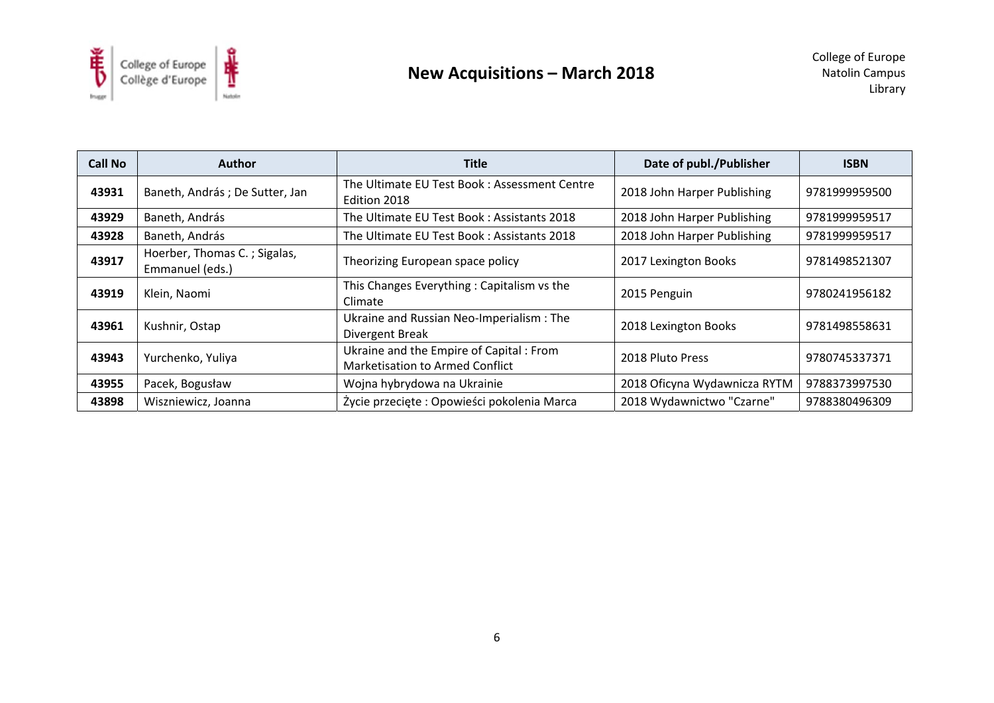

| Call No | <b>Author</b>                                   | <b>Title</b>                                                               | Date of publ./Publisher      | <b>ISBN</b>   |
|---------|-------------------------------------------------|----------------------------------------------------------------------------|------------------------------|---------------|
| 43931   | Baneth, András; De Sutter, Jan                  | The Ultimate EU Test Book: Assessment Centre<br>Edition 2018               | 2018 John Harper Publishing  | 9781999959500 |
| 43929   | Baneth, András                                  | The Ultimate EU Test Book: Assistants 2018                                 | 2018 John Harper Publishing  | 9781999959517 |
| 43928   | Baneth, András                                  | The Ultimate EU Test Book: Assistants 2018                                 | 2018 John Harper Publishing  | 9781999959517 |
| 43917   | Hoerber, Thomas C.; Sigalas,<br>Emmanuel (eds.) | Theorizing European space policy                                           | 2017 Lexington Books         | 9781498521307 |
| 43919   | Klein, Naomi                                    | This Changes Everything: Capitalism vs the<br>Climate                      | 2015 Penguin                 | 9780241956182 |
| 43961   | Kushnir, Ostap                                  | Ukraine and Russian Neo-Imperialism: The<br>Divergent Break                | 2018 Lexington Books         | 9781498558631 |
| 43943   | Yurchenko, Yuliya                               | Ukraine and the Empire of Capital: From<br>Marketisation to Armed Conflict | 2018 Pluto Press             | 9780745337371 |
| 43955   | Pacek, Bogusław                                 | Wojna hybrydowa na Ukrainie                                                | 2018 Oficyna Wydawnicza RYTM | 9788373997530 |
| 43898   | Wiszniewicz, Joanna                             | Życie przecięte: Opowieści pokolenia Marca                                 | 2018 Wydawnictwo "Czarne"    | 9788380496309 |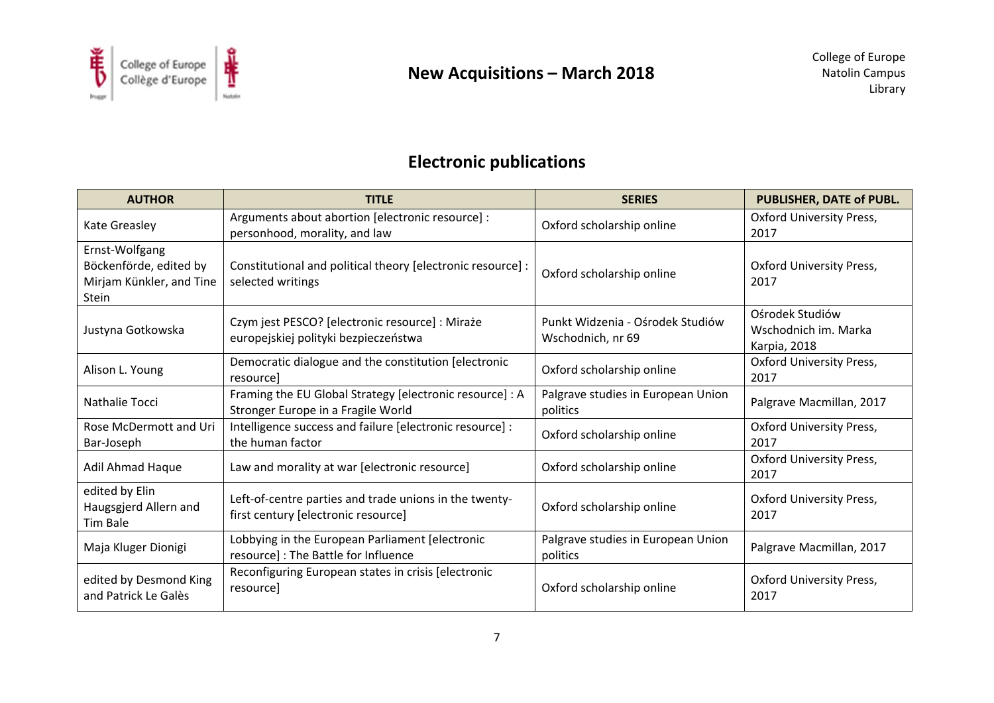

# **Electronic publications**

| <b>AUTHOR</b>                                                                 | <b>TITLE</b>                                                                                   | <b>SERIES</b>                                         | <b>PUBLISHER, DATE of PUBL.</b>                         |
|-------------------------------------------------------------------------------|------------------------------------------------------------------------------------------------|-------------------------------------------------------|---------------------------------------------------------|
| <b>Kate Greasley</b>                                                          | Arguments about abortion [electronic resource] :<br>personhood, morality, and law              | Oxford scholarship online                             | <b>Oxford University Press,</b><br>2017                 |
| Ernst-Wolfgang<br>Böckenförde, edited by<br>Mirjam Künkler, and Tine<br>Stein | Constitutional and political theory [electronic resource] :<br>selected writings               | Oxford scholarship online                             | <b>Oxford University Press,</b><br>2017                 |
| Justyna Gotkowska                                                             | Czym jest PESCO? [electronic resource] : Miraże<br>europejskiej polityki bezpieczeństwa        | Punkt Widzenia - Ośrodek Studiów<br>Wschodnich, nr 69 | Ośrodek Studiów<br>Wschodnich im. Marka<br>Karpia, 2018 |
| Alison L. Young                                                               | Democratic dialogue and the constitution [electronic<br>resource]                              | Oxford scholarship online                             | <b>Oxford University Press,</b><br>2017                 |
| Nathalie Tocci                                                                | Framing the EU Global Strategy [electronic resource] : A<br>Stronger Europe in a Fragile World | Palgrave studies in European Union<br>politics        | Palgrave Macmillan, 2017                                |
| Rose McDermott and Uri<br>Bar-Joseph                                          | Intelligence success and failure [electronic resource] :<br>the human factor                   | Oxford scholarship online                             | <b>Oxford University Press,</b><br>2017                 |
| Adil Ahmad Haque                                                              | Law and morality at war [electronic resource]                                                  | Oxford scholarship online                             | <b>Oxford University Press,</b><br>2017                 |
| edited by Elin<br>Haugsgjerd Allern and<br>Tim Bale                           | Left-of-centre parties and trade unions in the twenty-<br>first century [electronic resource]  | Oxford scholarship online                             | <b>Oxford University Press,</b><br>2017                 |
| Maja Kluger Dionigi                                                           | Lobbying in the European Parliament [electronic<br>resource] : The Battle for Influence        | Palgrave studies in European Union<br>politics        | Palgrave Macmillan, 2017                                |
| edited by Desmond King<br>and Patrick Le Galès                                | Reconfiguring European states in crisis [electronic<br>resource]                               | Oxford scholarship online                             | <b>Oxford University Press,</b><br>2017                 |